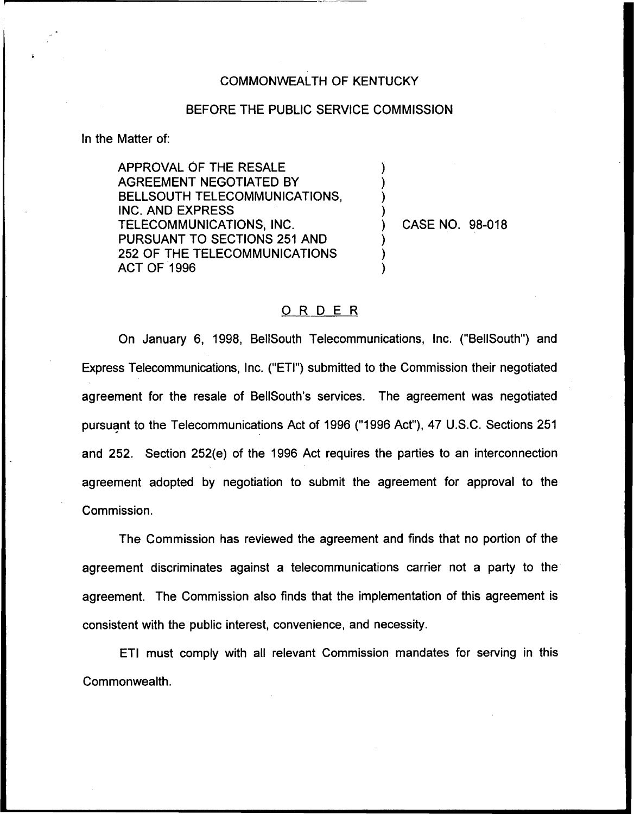## COMMONWEALTH OF KENTUCKY

## BEFORE THE PUBLIC SERVICE COMMISSION

) )  $\overline{\phantom{a}}$  $\overline{\phantom{a}}$ 

 $\overline{\phantom{a}}$ ) )

In the Matter of:

APPROVAL OF THE RESALE AGREEMENT NEGOTIATED BY BELLSOUTH TELECOMMUNICATIONS, INC. AND EXPRESS TELECOMMUNICATIONS, INC. PURSUANT TO SECTIONS 251 AND 252 OF THE TELECOMMUNICATIONS ACT OF 1996

) CASE NO. 98-018

## ORDER

On January 6, 1998, BellSouth Telecommunications, Inc. ("BellSouth") and Express Telecommunications, Inc. ("ETI") submitted to the Commission their negotiated agreement for the resale of BellSouth's services. The agreement was negotiated pursuant to the Telecommunications Act of 1996 ("1996Act"), 47 U.S.C. Sections 251 and 252. Section 252(e) of the 1996 Act requires the parties to an interconnection agreement adopted by negotiation to submit the agreement for approval to the Commission.

The Commission has reviewed the agreement and finds that no portion of the agreement discriminates against a telecommunications carrier not a party to the agreement. The Commission also finds that the implementation of this agreement is consistent with the public interest, convenience, and necessity.

ETI must comply with all relevant Commission mandates for serving in this Commonwealth.